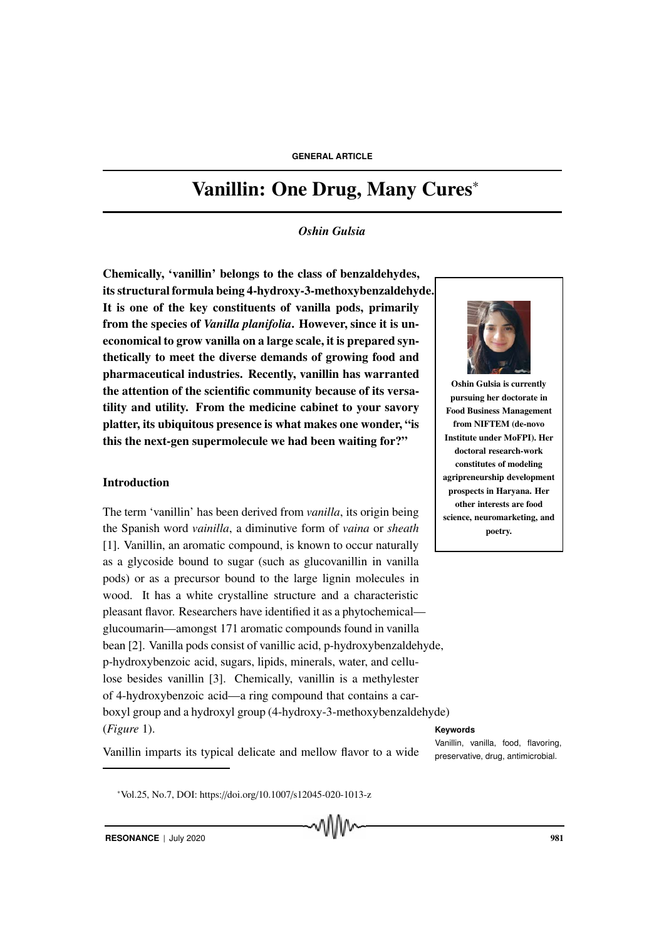#### **GENERAL ARTICLE**

# Vanillin: One Drug, Many Cures<sup>∗</sup>

#### *Oshin Gulsia*

Chemically, 'vanillin' belongs to the class of benzaldehydes, its structural formula being 4-hydroxy-3-methoxybenzaldehyde. It is one of the key constituents of vanilla pods, primarily from the species of *Vanilla planifolia*. However, since it is uneconomical to grow vanilla on a large scale, it is prepared synthetically to meet the diverse demands of growing food and pharmaceutical industries. Recently, vanillin has warranted the attention of the scientific community because of its versatility and utility. From the medicine cabinet to your savory platter, its ubiquitous presence is what makes one wonder, "is this the next-gen supermolecule we had been waiting for?"

## Introduction

The term 'vanillin' has been derived from *vanilla*, its origin being the Spanish word *vainilla*, a diminutive form of *vaina* or *sheath* [1]. Vanillin, an aromatic compound, is known to occur naturally as a glycoside bound to sugar (such as glucovanillin in vanilla pods) or as a precursor bound to the large lignin molecules in wood. It has a white crystalline structure and a characteristic pleasant flavor. Researchers have identified it as a phytochemical glucoumarin—amongst 171 aromatic compounds found in vanilla bean [2]. Vanilla pods consist of vanillic acid, p-hydroxybenzaldehyde, p-hydroxybenzoic acid, sugars, lipids, minerals, water, and cellulose besides vanillin [3]. Chemically, vanillin is a methylester of 4-hydroxybenzoic acid—a ring compound that contains a carboxyl group and a hydroxyl group (4-hydroxy-3-methoxybenzaldehyde) (*Figure* 1). **Keywords**



Oshin Gulsia is currently pursuing her doctorate in Food Business Management from NIFTEM (de-novo Institute under MoFPI). Her doctoral research-work constitutes of modeling agripreneurship development prospects in Haryana. Her other interests are food science, neuromarketing, and poetry.

Vanillin imparts its typical delicate and mellow flavor to a wide preservative, drug, antimicrobial.

Vanillin, vanilla, food, flavoring,

<sup>∗</sup>Vol.25, No.7, DOI: https://doi.org/10.1007/s12045-020-1013-z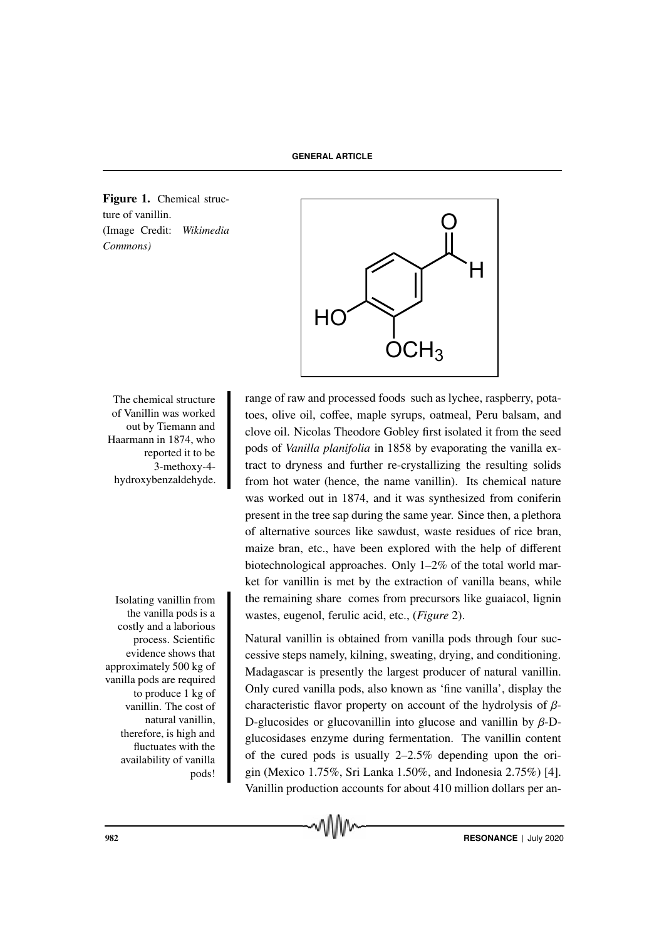Figure 1. Chemical structure of vanillin. (Image Credit: *Wikimedia Commons)*



of Vanillin was worked out by Tiemann and Haarmann in 1874, who reported it to be 3-methoxy-4 hydroxybenzaldehyde.

Isolating vanillin from the vanilla pods is a costly and a laborious process. Scientific evidence shows that approximately 500 kg of vanilla pods are required to produce 1 kg of vanillin. The cost of natural vanillin, therefore, is high and fluctuates with the availability of vanilla pods!

The chemical structure range of raw and processed foods such as lychee, raspberry, potatoes, olive oil, coffee, maple syrups, oatmeal, Peru balsam, and clove oil. Nicolas Theodore Gobley first isolated it from the seed pods of *Vanilla planifolia* in 1858 by evaporating the vanilla extract to dryness and further re-crystallizing the resulting solids from hot water (hence, the name vanillin). Its chemical nature was worked out in 1874, and it was synthesized from coniferin present in the tree sap during the same year. Since then, a plethora of alternative sources like sawdust, waste residues of rice bran, maize bran, etc., have been explored with the help of different biotechnological approaches. Only 1–2% of the total world market for vanillin is met by the extraction of vanilla beans, while the remaining share comes from precursors like guaiacol, lignin wastes, eugenol, ferulic acid, etc., (*Figure* 2).

> Natural vanillin is obtained from vanilla pods through four successive steps namely, kilning, sweating, drying, and conditioning. Madagascar is presently the largest producer of natural vanillin. Only cured vanilla pods, also known as 'fine vanilla', display the characteristic flavor property on account of the hydrolysis of  $\beta$ -D-glucosides or glucovanillin into glucose and vanillin by  $\beta$ -Dglucosidases enzyme during fermentation. The vanillin content of the cured pods is usually 2–2.5% depending upon the origin (Mexico 1.75%, Sri Lanka 1.50%, and Indonesia 2.75%) [4]. Vanillin production accounts for about 410 million dollars per an-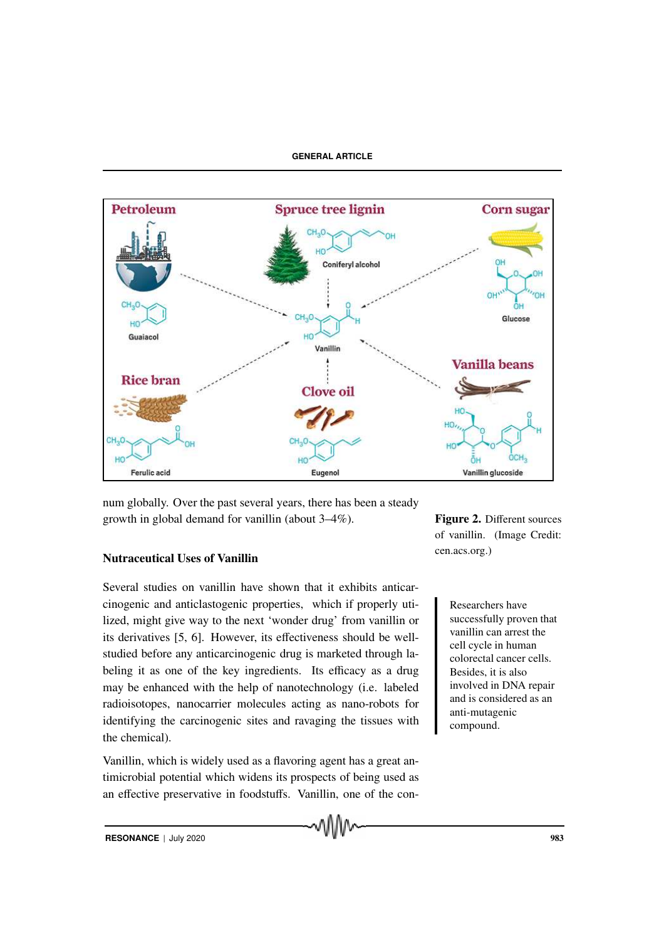### **GENERAL ARTICLE**



num globally. Over the past several years, there has been a steady growth in global demand for vanillin (about 3–4%).

# Nutraceutical Uses of Vanillin

Several studies on vanillin have shown that it exhibits anticarcinogenic and anticlastogenic properties, which if properly uti-<br>Researchers have lized, might give way to the next 'wonder drug' from vanillin or its derivatives [5, 6]. However, its effectiveness should be wellstudied before any anticarcinogenic drug is marketed through labeling it as one of the key ingredients. Its efficacy as a drug may be enhanced with the help of nanotechnology (i.e. labeled radioisotopes, nanocarrier molecules acting as nano-robots for identifying the carcinogenic sites and ravaging the tissues with the chemical).

Vanillin, which is widely used as a flavoring agent has a great antimicrobial potential which widens its prospects of being used as an effective preservative in foodstuffs. Vanillin, one of the conFigure 2. Different sources of vanillin. (Image Credit: cen.acs.org.)

> successfully proven that vanillin can arrest the cell cycle in human colorectal cancer cells. Besides, it is also involved in DNA repair and is considered as an anti-mutagenic compound.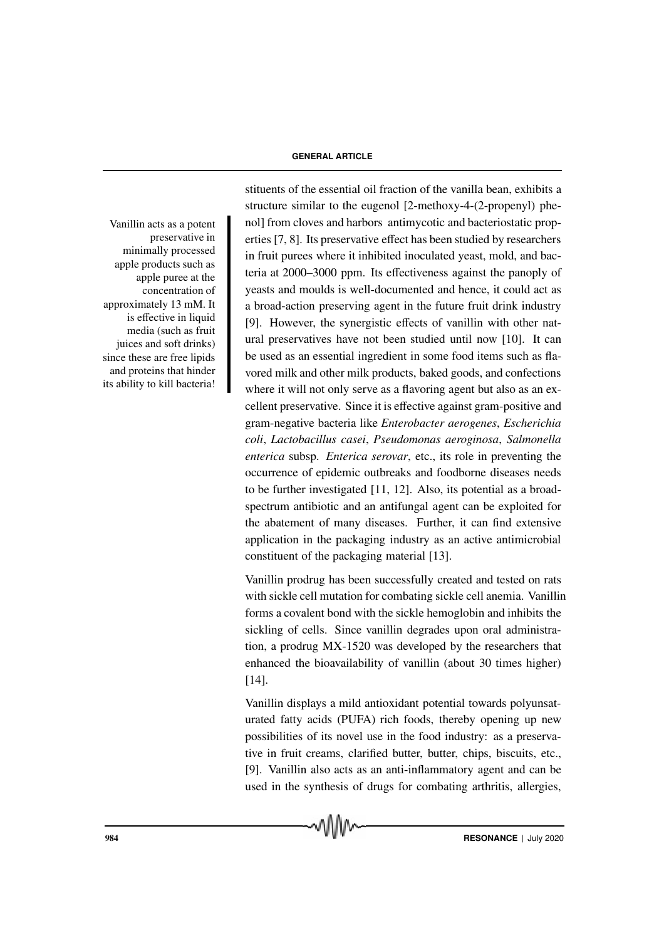#### **GENERAL ARTICLE**

preservative in minimally processed apple products such as apple puree at the concentration of approximately 13 mM. It is effective in liquid media (such as fruit juices and soft drinks) since these are free lipids and proteins that hinder its ability to kill bacteria!

stituents of the essential oil fraction of the vanilla bean, exhibits a structure similar to the eugenol [2-methoxy-4-(2-propenyl) phe-Vanillin acts as a potent noll from cloves and harbors antimycotic and bacteriostatic properties [7, 8]. Its preservative effect has been studied by researchers in fruit purees where it inhibited inoculated yeast, mold, and bacteria at 2000–3000 ppm. Its effectiveness against the panoply of yeasts and moulds is well-documented and hence, it could act as a broad-action preserving agent in the future fruit drink industry [9]. However, the synergistic effects of vanillin with other natural preservatives have not been studied until now [10]. It can be used as an essential ingredient in some food items such as flavored milk and other milk products, baked goods, and confections where it will not only serve as a flavoring agent but also as an excellent preservative. Since it is effective against gram-positive and gram-negative bacteria like *Enterobacter aerogenes*, *Escherichia coli*, *Lactobacillus casei*, *Pseudomonas aeroginosa*, *Salmonella enterica* subsp. *Enterica serovar*, etc., its role in preventing the occurrence of epidemic outbreaks and foodborne diseases needs to be further investigated [11, 12]. Also, its potential as a broadspectrum antibiotic and an antifungal agent can be exploited for the abatement of many diseases. Further, it can find extensive application in the packaging industry as an active antimicrobial constituent of the packaging material [13].

> Vanillin prodrug has been successfully created and tested on rats with sickle cell mutation for combating sickle cell anemia. Vanillin forms a covalent bond with the sickle hemoglobin and inhibits the sickling of cells. Since vanillin degrades upon oral administration, a prodrug MX-1520 was developed by the researchers that enhanced the bioavailability of vanillin (about 30 times higher) [14].

Vanillin displays a mild antioxidant potential towards polyunsaturated fatty acids (PUFA) rich foods, thereby opening up new possibilities of its novel use in the food industry: as a preservative in fruit creams, clarified butter, butter, chips, biscuits, etc., [9]. Vanillin also acts as an anti-inflammatory agent and can be used in the synthesis of drugs for combating arthritis, allergies,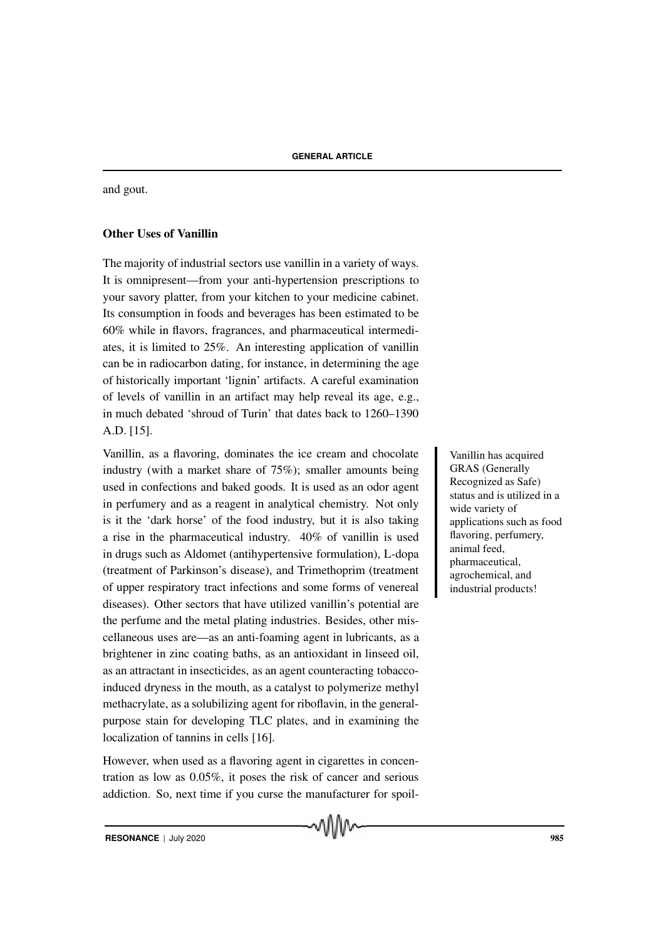and gout.

# Other Uses of Vanillin

The majority of industrial sectors use vanillin in a variety of ways. It is omnipresent—from your anti-hypertension prescriptions to your savory platter, from your kitchen to your medicine cabinet. Its consumption in foods and beverages has been estimated to be 60% while in flavors, fragrances, and pharmaceutical intermediates, it is limited to 25%. An interesting application of vanillin can be in radiocarbon dating, for instance, in determining the age of historically important 'lignin' artifacts. A careful examination of levels of vanillin in an artifact may help reveal its age, e.g., in much debated 'shroud of Turin' that dates back to 1260–1390 A.D. [15].

Vanillin, as a flavoring, dominates the ice cream and chocolate Vanillin has acquired industry (with a market share of 75%); smaller amounts being used in confections and baked goods. It is used as an odor agent in perfumery and as a reagent in analytical chemistry. Not only is it the 'dark horse' of the food industry, but it is also taking a rise in the pharmaceutical industry. 40% of vanillin is used in drugs such as Aldomet (antihypertensive formulation), L-dopa (treatment of Parkinson's disease), and Trimethoprim (treatment of upper respiratory tract infections and some forms of venereal diseases). Other sectors that have utilized vanillin's potential are the perfume and the metal plating industries. Besides, other miscellaneous uses are—as an anti-foaming agent in lubricants, as a brightener in zinc coating baths, as an antioxidant in linseed oil, as an attractant in insecticides, as an agent counteracting tobaccoinduced dryness in the mouth, as a catalyst to polymerize methyl methacrylate, as a solubilizing agent for riboflavin, in the generalpurpose stain for developing TLC plates, and in examining the localization of tannins in cells [16].

However, when used as a flavoring agent in cigarettes in concentration as low as 0.05%, it poses the risk of cancer and serious addiction. So, next time if you curse the manufacturer for spoil-

MMW

GRAS (Generally Recognized as Safe) status and is utilized in a wide variety of applications such as food flavoring, perfumery, animal feed, pharmaceutical, agrochemical, and industrial products!